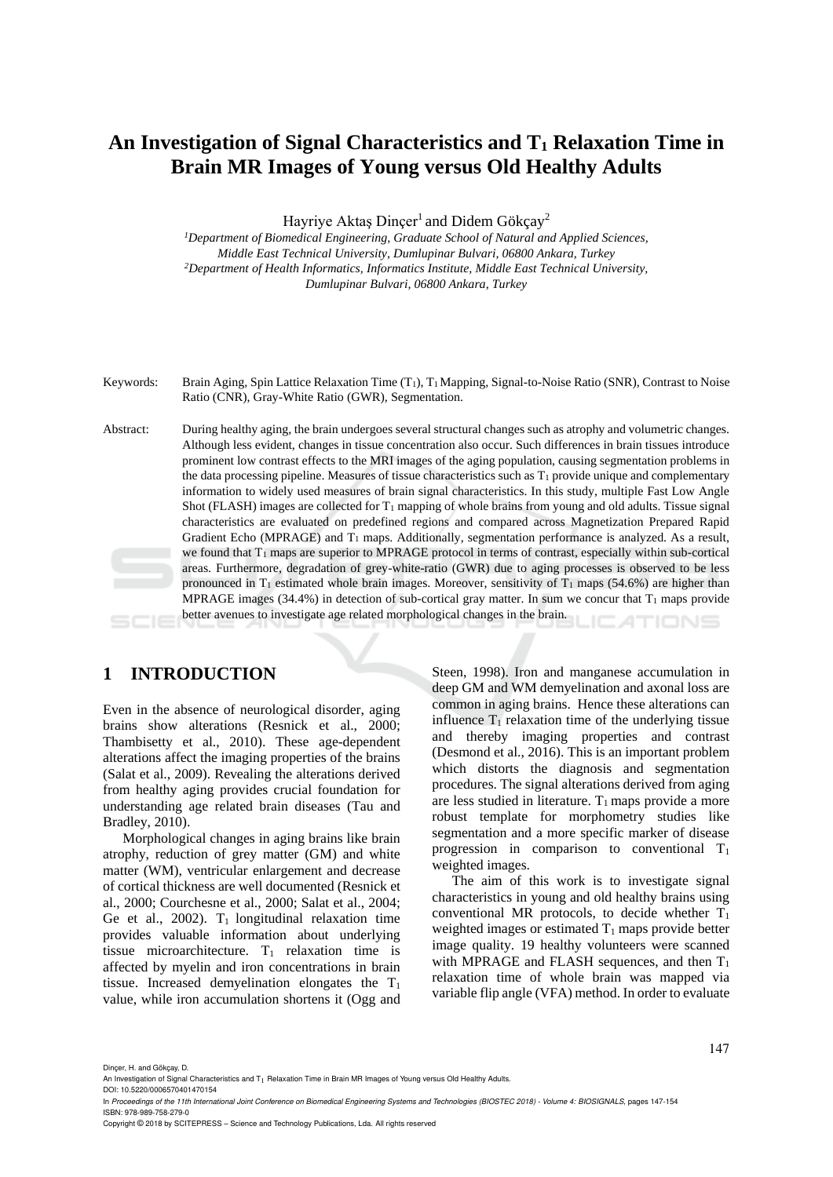# **An Investigation of Signal Characteristics and T<sup>1</sup> Relaxation Time in Brain MR Images of Young versus Old Healthy Adults**

Hayriye Aktaş Dinçer<sup>1</sup> and Didem Gökçay<sup>2</sup>

*<sup>1</sup>Department of Biomedical Engineering, Graduate School of Natural and Applied Sciences, Middle East Technical University, Dumlupinar Bulvari, 06800 Ankara, Turkey <sup>2</sup>Department of Health Informatics, Informatics Institute, Middle East Technical University, Dumlupinar Bulvari, 06800 Ankara, Turkey*

Keywords: Brain Aging, Spin Lattice Relaxation Time (T<sub>1</sub>), T<sub>1</sub> Mapping, Signal-to-Noise Ratio (SNR), Contrast to Noise Ratio (CNR), Gray-White Ratio (GWR), Segmentation.

Abstract: During healthy aging, the brain undergoes several structural changes such as atrophy and volumetric changes. Although less evident, changes in tissue concentration also occur. Such differences in brain tissues introduce prominent low contrast effects to the MRI images of the aging population, causing segmentation problems in the data processing pipeline. Measures of tissue characteristics such as  $T_1$  provide unique and complementary information to widely used measures of brain signal characteristics. In this study, multiple Fast Low Angle Shot (FLASH) images are collected for  $T_1$  mapping of whole brains from young and old adults. Tissue signal characteristics are evaluated on predefined regions and compared across Magnetization Prepared Rapid Gradient Echo (MPRAGE) and  $T_1$  maps. Additionally, segmentation performance is analyzed. As a result, we found that  $T_1$  maps are superior to MPRAGE protocol in terms of contrast, especially within sub-cortical areas. Furthermore, degradation of grey-white-ratio (GWR) due to aging processes is observed to be less pronounced in  $T_1$  estimated whole brain images. Moreover, sensitivity of  $T_1$  maps (54.6%) are higher than MPRAGE images (34.4%) in detection of sub-cortical gray matter. In sum we concur that  $T_1$  maps provide better avenues to investigate age related morphological changes in the brain. TIONS

## **1 INTRODUCTION**

Even in the absence of neurological disorder, aging brains show alterations (Resnick et al., 2000; Thambisetty et al., 2010). These age-dependent alterations affect the imaging properties of the brains (Salat et al., 2009). Revealing the alterations derived from healthy aging provides crucial foundation for understanding age related brain diseases (Tau and Bradley, 2010).

Morphological changes in aging brains like brain atrophy, reduction of grey matter (GM) and white matter (WM), ventricular enlargement and decrease of cortical thickness are well documented (Resnick et al., 2000; Courchesne et al., 2000; Salat et al., 2004; Ge et al., 2002).  $T_1$  longitudinal relaxation time provides valuable information about underlying tissue microarchitecture.  $T_1$  relaxation time is affected by myelin and iron concentrations in brain tissue. Increased demyelination elongates the  $T_1$ value, while iron accumulation shortens it (Ogg and

Steen, 1998). Iron and manganese accumulation in deep GM and WM demyelination and axonal loss are common in aging brains. Hence these alterations can influence  $T_1$  relaxation time of the underlying tissue and thereby imaging properties and contrast (Desmond et al., 2016). This is an important problem which distorts the diagnosis and segmentation procedures. The signal alterations derived from aging are less studied in literature.  $T_1$  maps provide a more robust template for morphometry studies like segmentation and a more specific marker of disease progression in comparison to conventional  $T_1$ weighted images.

The aim of this work is to investigate signal characteristics in young and old healthy brains using conventional MR protocols, to decide whether  $T_1$ weighted images or estimated  $T_1$  maps provide better image quality. 19 healthy volunteers were scanned with MPRAGE and FLASH sequences, and then  $T_1$ relaxation time of whole brain was mapped via variable flip angle (VFA) method. In order to evaluate

Dinçer, H. and Gökçay, D.

Copyright © 2018 by SCITEPRESS – Science and Technology Publications, Lda. All rights reserved

An Investigation of Signal Characteristics and T<sub>1</sub> Relaxation Time in Brain MR Images of Young versus Old Healthy Adults. DOI: 10.5220/0006570401470154

In *Proceedings of the 11th International Joint Conference on Biomedical Engineering Systems and Technologies (BIOSTEC 2018) - Volume 4: BIOSIGNALS*, pages 147-154 ISBN: 978-989-758-279-0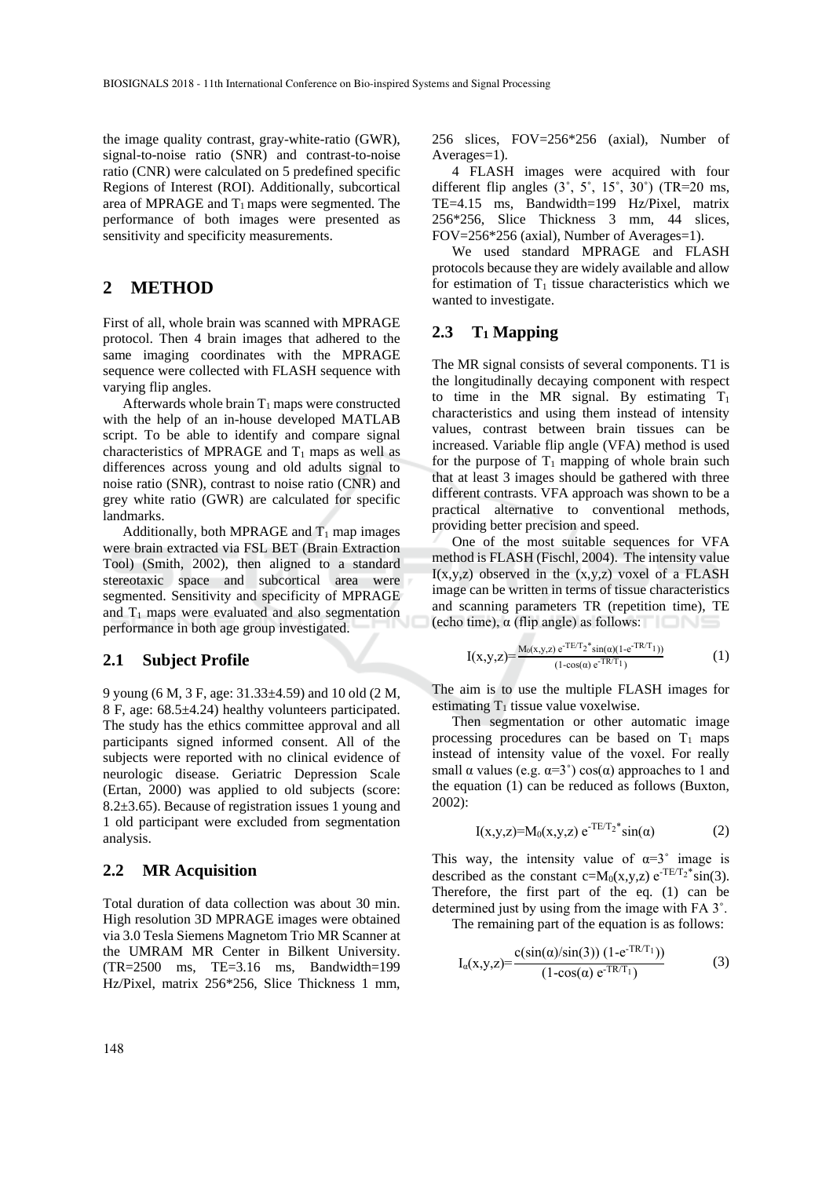the image quality contrast, gray-white-ratio (GWR), signal-to-noise ratio (SNR) and contrast-to-noise ratio (CNR) were calculated on 5 predefined specific Regions of Interest (ROI). Additionally, subcortical area of MPRAGE and  $T_1$  maps were segmented. The performance of both images were presented as sensitivity and specificity measurements.

## **2 METHOD**

First of all, whole brain was scanned with MPRAGE protocol. Then 4 brain images that adhered to the same imaging coordinates with the MPRAGE sequence were collected with FLASH sequence with varying flip angles.

Afterwards whole brain  $T_1$  maps were constructed with the help of an in-house developed MATLAB script. To be able to identify and compare signal characteristics of MPRAGE and  $T_1$  maps as well as differences across young and old adults signal to noise ratio (SNR), contrast to noise ratio (CNR) and grey white ratio (GWR) are calculated for specific landmarks.

Additionally, both MPRAGE and  $T_1$  map images were brain extracted via FSL BET (Brain Extraction Tool) (Smith, 2002), then aligned to a standard stereotaxic space and subcortical area were segmented. Sensitivity and specificity of MPRAGE and  $T_1$  maps were evaluated and also segmentation performance in both age group investigated.

#### **2.1 Subject Profile**

9 young (6 M, 3 F, age: 31.33±4.59) and 10 old (2 M, 8 F, age: 68.5±4.24) healthy volunteers participated. The study has the ethics committee approval and all participants signed informed consent. All of the subjects were reported with no clinical evidence of neurologic disease. Geriatric Depression Scale (Ertan, 2000) was applied to old subjects (score: 8.2 $\pm$ 3.65). Because of registration issues 1 young and 1 old participant were excluded from segmentation analysis.

#### **2.2 MR Acquisition**

Total duration of data collection was about 30 min. High resolution 3D MPRAGE images were obtained via 3.0 Tesla Siemens Magnetom Trio MR Scanner at the UMRAM MR Center in Bilkent University. (TR=2500 ms, TE=3.16 ms, Bandwidth=199 Hz/Pixel, matrix 256\*256, Slice Thickness 1 mm,

256 slices, FOV=256\*256 (axial), Number of Averages=1).

4 FLASH images were acquired with four different flip angles  $(3^{\circ}, 5^{\circ}, 15^{\circ}, 30^{\circ})$  (TR=20 ms, TE=4.15 ms, Bandwidth=199 Hz/Pixel, matrix 256\*256, Slice Thickness 3 mm, 44 slices, FOV=256\*256 (axial), Number of Averages=1).

We used standard MPRAGE and FLASH protocols because they are widely available and allow for estimation of  $T_1$  tissue characteristics which we wanted to investigate.

#### **2.3 T<sup>1</sup> Mapping**

The MR signal consists of several components. T1 is the longitudinally decaying component with respect to time in the MR signal. By estimating  $T_1$ characteristics and using them instead of intensity values, contrast between brain tissues can be increased. Variable flip angle (VFA) method is used for the purpose of  $T_1$  mapping of whole brain such that at least 3 images should be gathered with three different contrasts. VFA approach was shown to be a practical alternative to conventional methods, providing better precision and speed.

One of the most suitable sequences for VFA method is FLASH (Fischl, 2004). The intensity value  $I(x,y,z)$  observed in the  $(x,y,z)$  voxel of a FLASH image can be written in terms of tissue characteristics and scanning parameters TR (repetition time), TE (echo time),  $\alpha$  (flip angle) as follows:

$$
I(x,y,z) = \frac{M_0(x,y,z) e^{-TE/T_2^*} \sin(\alpha)(1 - e^{-TR/T_1}))}{(1 - \cos(\alpha) e^{-TR/T_1})}
$$
(1)

The aim is to use the multiple FLASH images for estimating  $T_1$  tissue value voxelwise.

Then segmentation or other automatic image processing procedures can be based on  $T_1$  maps instead of intensity value of the voxel. For really small  $\alpha$  values (e.g.  $\alpha=3^{\circ}$ ) cos( $\alpha$ ) approaches to 1 and the equation (1) can be reduced as follows (Buxton, 2002):

$$
I(x,y,z) = M_0(x,y,z) e^{-TE/T_2*} \sin(α)
$$
 (2)

This way, the intensity value of  $\alpha = 3^{\circ}$  image is described as the constant  $c=M_0(x,y,z) e^{-TE/T_2*}\sin(3)$ . Therefore, the first part of the eq. (1) can be determined just by using from the image with FA 3˚.

The remaining part of the equation is as follows:

$$
I_{\alpha}(x,y,z) = \frac{c(\sin(\alpha)/\sin(3)) (1 - e^{-TR/T_1}))}{(1 - \cos(\alpha) e^{-TR/T_1})}
$$
(3)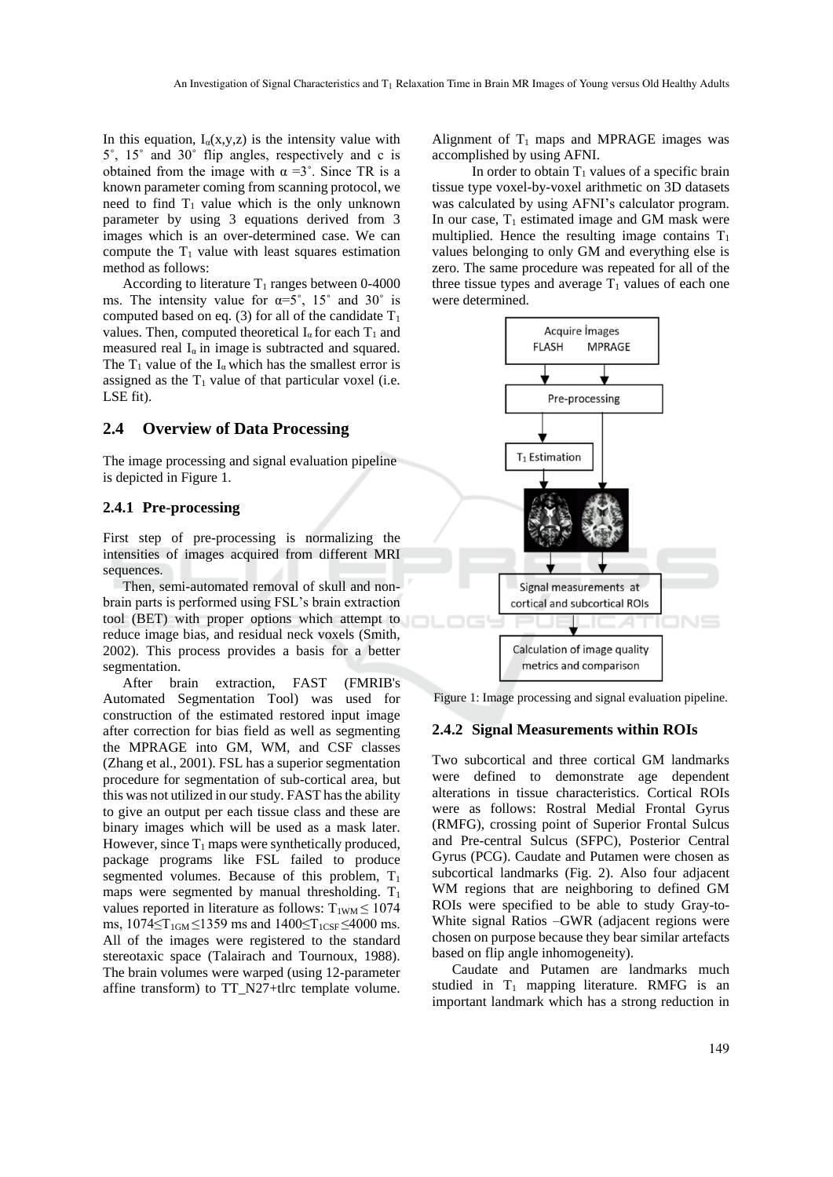In this equation,  $I_{\alpha}(x,y,z)$  is the intensity value with 5˚, 15˚ and 30˚ flip angles, respectively and c is obtained from the image with  $\alpha = 3^{\circ}$ . Since TR is a known parameter coming from scanning protocol, we need to find  $T_1$  value which is the only unknown parameter by using 3 equations derived from 3 images which is an over-determined case. We can compute the  $T_1$  value with least squares estimation method as follows:

According to literature  $T_1$  ranges between 0-4000 ms. The intensity value for  $\alpha = 5^\circ$ , 15° and 30° is computed based on eq. (3) for all of the candidate  $T_1$ values. Then, computed theoretical  $I_{\alpha}$  for each  $T_1$  and measured real  $I_a$  in image is subtracted and squared. The  $T_1$  value of the I<sub>q</sub> which has the smallest error is assigned as the  $T_1$  value of that particular voxel (i.e. LSE fit).

#### **2.4 Overview of Data Processing**

The image processing and signal evaluation pipeline is depicted in Figure 1.

#### **2.4.1 Pre-processing**

First step of pre-processing is normalizing the intensities of images acquired from different MRI sequences.

Then, semi-automated removal of skull and nonbrain parts is performed using FSL's brain extraction tool (BET) with proper options which attempt to reduce image bias, and residual neck voxels (Smith, 2002). This process provides a basis for a better segmentation.

After brain extraction, FAST (FMRIB's Automated Segmentation Tool) was used for construction of the estimated restored input image after correction for bias field as well as segmenting the MPRAGE into GM, WM, and CSF classes (Zhang et al., 2001). FSL has a superior segmentation procedure for segmentation of sub-cortical area, but this was not utilized in our study. FAST has the ability to give an output per each tissue class and these are binary images which will be used as a mask later. However, since  $T_1$  maps were synthetically produced, package programs like FSL failed to produce segmented volumes. Because of this problem,  $T_1$ maps were segmented by manual thresholding.  $T_1$ values reported in literature as follows:  $T_{1WM} \le 1074$ ms,  $1074 \le T_{1GM} \le 1359$  ms and  $1400 \le T_{1CSF} \le 4000$  ms. All of the images were registered to the standard stereotaxic space (Talairach and Tournoux, 1988). The brain volumes were warped (using 12-parameter affine transform) to TT\_N27+tlrc template volume.

Alignment of  $T_1$  maps and MPRAGE images was accomplished by using AFNI.

In order to obtain  $T_1$  values of a specific brain tissue type voxel-by-voxel arithmetic on 3D datasets was calculated by using AFNI's calculator program. In our case,  $T_1$  estimated image and GM mask were multiplied. Hence the resulting image contains  $T_1$ values belonging to only GM and everything else is zero. The same procedure was repeated for all of the three tissue types and average  $T_1$  values of each one were determined.



Figure 1: Image processing and signal evaluation pipeline.

#### **2.4.2 Signal Measurements within ROIs**

Two subcortical and three cortical GM landmarks were defined to demonstrate age dependent alterations in tissue characteristics. Cortical ROIs were as follows: Rostral Medial Frontal Gyrus (RMFG), crossing point of Superior Frontal Sulcus and Pre-central Sulcus (SFPC), Posterior Central Gyrus (PCG). Caudate and Putamen were chosen as subcortical landmarks (Fig. 2). Also four adjacent WM regions that are neighboring to defined GM ROIs were specified to be able to study Gray-to-White signal Ratios –GWR (adjacent regions were chosen on purpose because they bear similar artefacts based on flip angle inhomogeneity).

Caudate and Putamen are landmarks much studied in  $T_1$  mapping literature. RMFG is an important landmark which has a strong reduction in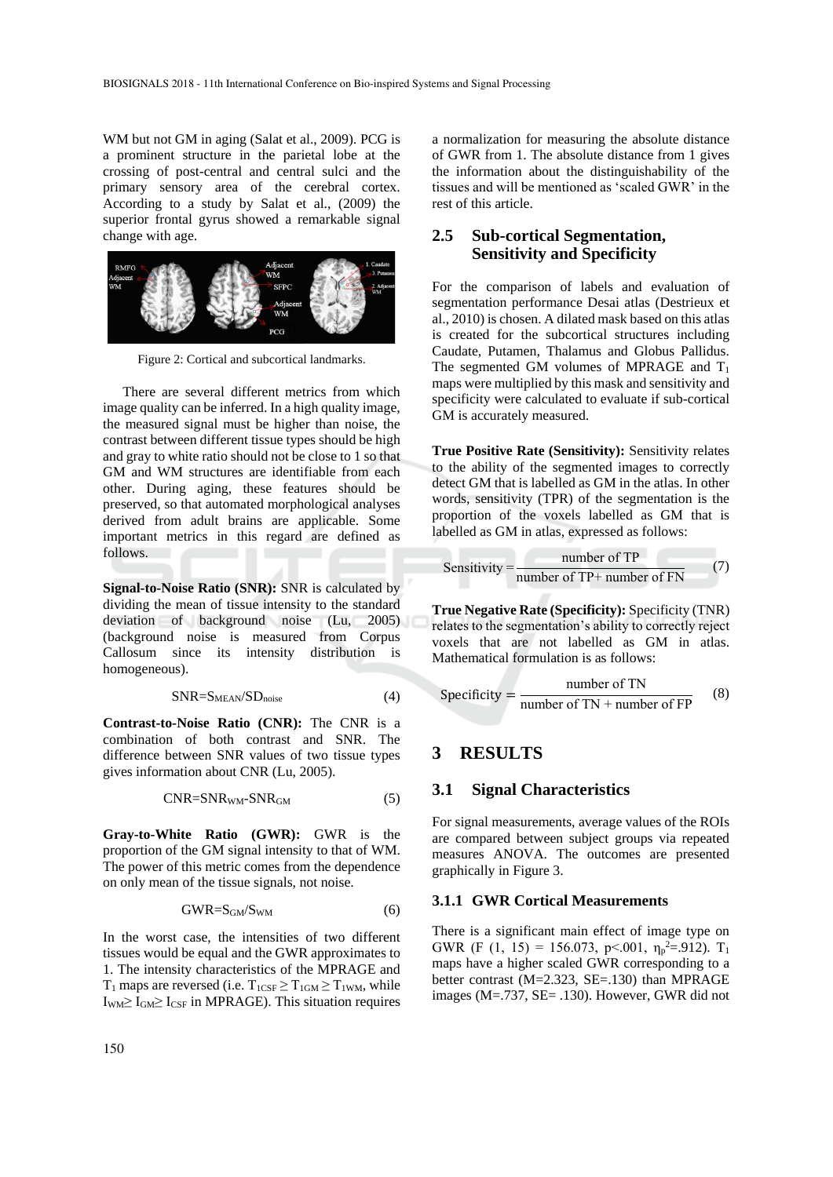WM but not GM in aging (Salat et al., 2009). PCG is a prominent structure in the parietal lobe at the crossing of post-central and central sulci and the primary sensory area of the cerebral cortex. According to a study by Salat et al., (2009) the superior frontal gyrus showed a remarkable signal change with age.



Figure 2: Cortical and subcortical landmarks.

There are several different metrics from which image quality can be inferred. In a high quality image, the measured signal must be higher than noise, the contrast between different tissue types should be high and gray to white ratio should not be close to 1 so that GM and WM structures are identifiable from each other. During aging, these features should be preserved, so that automated morphological analyses derived from adult brains are applicable. Some important metrics in this regard are defined as follows.

**Signal-to-Noise Ratio (SNR):** SNR is calculated by dividing the mean of tissue intensity to the standard deviation of background noise (Lu, 2005) (background noise is measured from Corpus Callosum since its intensity distribution is homogeneous).

$$
SNR = S_{MEAN}/SD_{noise}
$$
 (4)

**Contrast-to-Noise Ratio (CNR):** The CNR is a combination of both contrast and SNR. The difference between SNR values of two tissue types gives information about CNR (Lu, 2005).

$$
CNR = SNR_{WM} - SNR_{GM} \tag{5}
$$

**Gray-to-White Ratio (GWR):** GWR is the proportion of the GM signal intensity to that of WM. The power of this metric comes from the dependence on only mean of the tissue signals, not noise.

$$
GWR = S_{GM}/S_{WM} \tag{6}
$$

In the worst case, the intensities of two different tissues would be equal and the GWR approximates to 1. The intensity characteristics of the MPRAGE and  $T_1$  maps are reversed (i.e.  $T_{1CSF} \ge T_{1GM} \ge T_{1WM}$ , while  $I_{WM} \geq I_{GM} \geq I_{CSF}$  in MPRAGE). This situation requires

a normalization for measuring the absolute distance of GWR from 1. The absolute distance from 1 gives the information about the distinguishability of the tissues and will be mentioned as 'scaled GWR' in the rest of this article.

## **2.5 Sub-cortical Segmentation, Sensitivity and Specificity**

For the comparison of labels and evaluation of segmentation performance Desai atlas (Destrieux et al., 2010) is chosen. A dilated mask based on this atlas is created for the subcortical structures including Caudate, Putamen, Thalamus and Globus Pallidus. The segmented GM volumes of MPRAGE and  $T_1$ maps were multiplied by this mask and sensitivity and specificity were calculated to evaluate if sub-cortical GM is accurately measured.

**True Positive Rate (Sensitivity):** Sensitivity relates to the ability of the segmented images to correctly detect GM that is labelled as GM in the atlas. In other words, sensitivity (TPR) of the segmentation is the proportion of the voxels labelled as GM that is labelled as GM in atlas, expressed as follows:

Sensitivity = 
$$
\frac{\text{number of TP}}{\text{number of TP} + \text{number of FN}} \tag{7}
$$

**True Negative Rate (Specificity):** Specificity (TNR) relates to the segmentation's ability to correctly reject voxels that are not labelled as GM in atlas. Mathematical formulation is as follows:

$$
Specificity = \frac{number of TN}{number of TN + number of FP}
$$
 (8)

## **3 RESULTS**

### **3.1 Signal Characteristics**

For signal measurements, average values of the ROIs are compared between subject groups via repeated measures ANOVA. The outcomes are presented graphically in Figure 3.

## **3.1.1 GWR Cortical Measurements**

There is a significant main effect of image type on GWR (F (1, 15) = 156.073, p < 001,  $\eta_p^2 = 912$ ). T<sub>1</sub> maps have a higher scaled GWR corresponding to a better contrast (M=2.323, SE=.130) than MPRAGE images (M=.737, SE= .130). However, GWR did not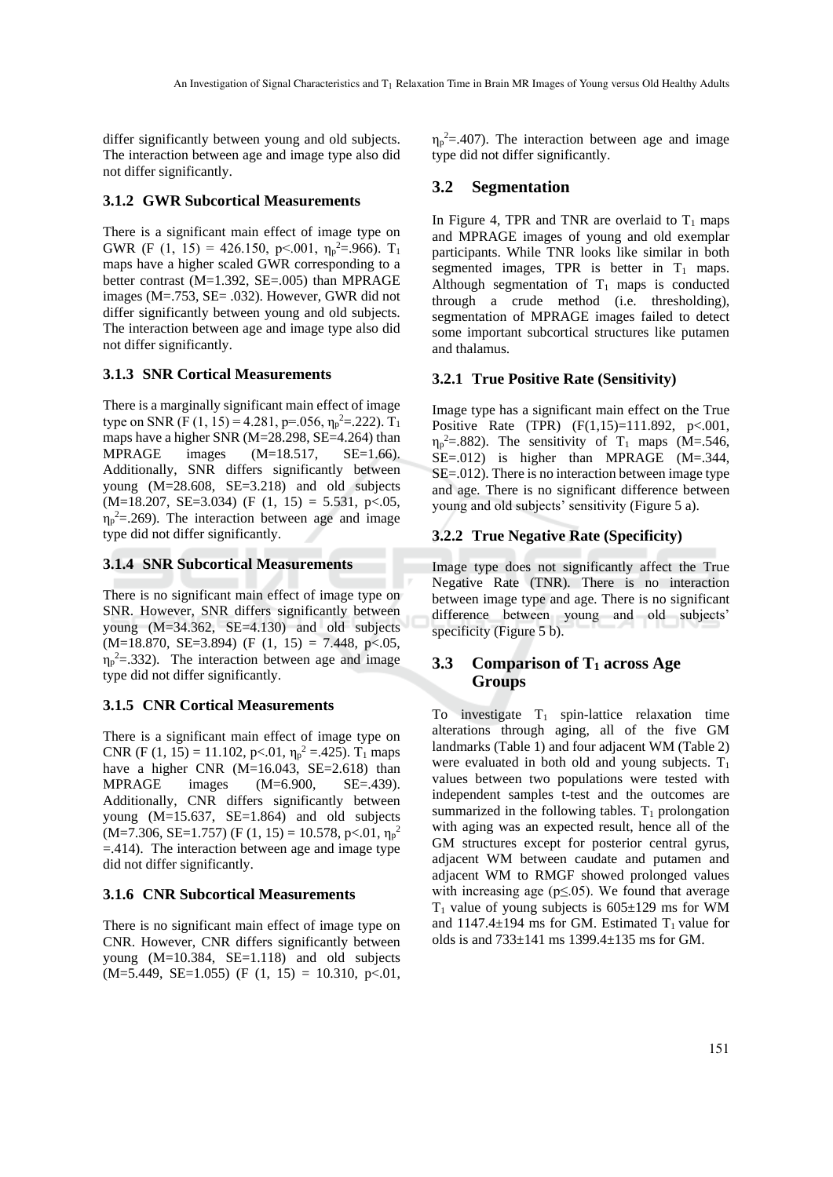differ significantly between young and old subjects. The interaction between age and image type also did not differ significantly.

#### **3.1.2 GWR Subcortical Measurements**

There is a significant main effect of image type on GWR (F (1, 15) = 426.150, p<.001,  $\eta_{p}^2 = .966$ ). T<sub>1</sub> maps have a higher scaled GWR corresponding to a better contrast (M=1.392, SE=.005) than MPRAGE images (M=.753, SE= .032). However, GWR did not differ significantly between young and old subjects. The interaction between age and image type also did not differ significantly.

#### **3.1.3 SNR Cortical Measurements**

There is a marginally significant main effect of image type on SNR (F (1, 15) = 4.281, p=.056,  $\eta_{p}^2$  = 222). T<sub>1</sub> maps have a higher SNR (M=28.298, SE=4.264) than MPRAGE images (M=18.517, SE=1.66). Additionally, SNR differs significantly between young (M=28.608, SE=3.218) and old subjects  $(M=18.207, SE=3.034)$  (F  $(1, 15) = 5.531, p<0.05$ ,  $\eta_p^2 = 269$ ). The interaction between age and image type did not differ significantly.

#### **3.1.4 SNR Subcortical Measurements**

There is no significant main effect of image type on SNR. However, SNR differs significantly between young (M=34.362, SE=4.130) and old subjects  $(M=18.870, SE=3.894)$  (F  $(1, 15) = 7.448, p<0.05$ ,  $\eta_p^2 = 0.332$ . The interaction between age and image type did not differ significantly.

#### **3.1.5 CNR Cortical Measurements**

There is a significant main effect of image type on CNR (F (1, 15) = 11.102, p<.01,  $\eta_p^2$  = 425).  $T_1$  maps have a higher CNR  $(M=16.043, SE=2.618)$  than MPRAGE images (M=6.900, SE=.439). Additionally, CNR differs significantly between young (M=15.637, SE=1.864) and old subjects  $(M=7.306, SE=1.757)$  (F (1, 15) = 10.578, p < 01,  $\eta_p^2$ =.414). The interaction between age and image type did not differ significantly.

#### **3.1.6 CNR Subcortical Measurements**

There is no significant main effect of image type on CNR. However, CNR differs significantly between young (M=10.384, SE=1.118) and old subjects  $(M=5.449, SE=1.055)$  (F  $(1, 15) = 10.310, p<0.01$ ,

 $\eta_p^2 = 0.407$ . The interaction between age and image type did not differ significantly.

#### **3.2 Segmentation**

In Figure 4, TPR and TNR are overlaid to  $T_1$  maps and MPRAGE images of young and old exemplar participants. While TNR looks like similar in both segmented images, TPR is better in  $T_1$  maps. Although segmentation of  $T_1$  maps is conducted through a crude method (i.e. thresholding), segmentation of MPRAGE images failed to detect some important subcortical structures like putamen and thalamus.

#### **3.2.1 True Positive Rate (Sensitivity)**

Image type has a significant main effect on the True Positive Rate (TPR) (F(1,15)=111.892, p<.001,  $\eta_p^2 = 0.882$ ). The sensitivity of T<sub>1</sub> maps (M=.546,  $SE=.012$ ) is higher than MPRAGE (M=.344, SE=.012). There is no interaction between image type and age*.* There is no significant difference between young and old subjects' sensitivity (Figure 5 a).

### **3.2.2 True Negative Rate (Specificity)**

Image type does not significantly affect the True Negative Rate (TNR). There is no interaction between image type and age*.* There is no significant difference between young and old subjects' specificity (Figure 5 b).

## **3.3 Comparison of T<sup>1</sup> across Age Groups**

To investigate  $T_1$  spin-lattice relaxation time alterations through aging, all of the five GM landmarks (Table 1) and four adjacent WM (Table 2) were evaluated in both old and young subjects.  $T_1$ values between two populations were tested with independent samples t-test and the outcomes are summarized in the following tables.  $T_1$  prolongation with aging was an expected result, hence all of the GM structures except for posterior central gyrus, adjacent WM between caudate and putamen and adjacent WM to RMGF showed prolonged values with increasing age ( $p \le 0.05$ ). We found that average  $T_1$  value of young subjects is 605 $\pm$ 129 ms for WM and 1147.4 $\pm$ 194 ms for GM. Estimated T<sub>1</sub> value for olds is and 733±141 ms 1399.4±135 ms for GM.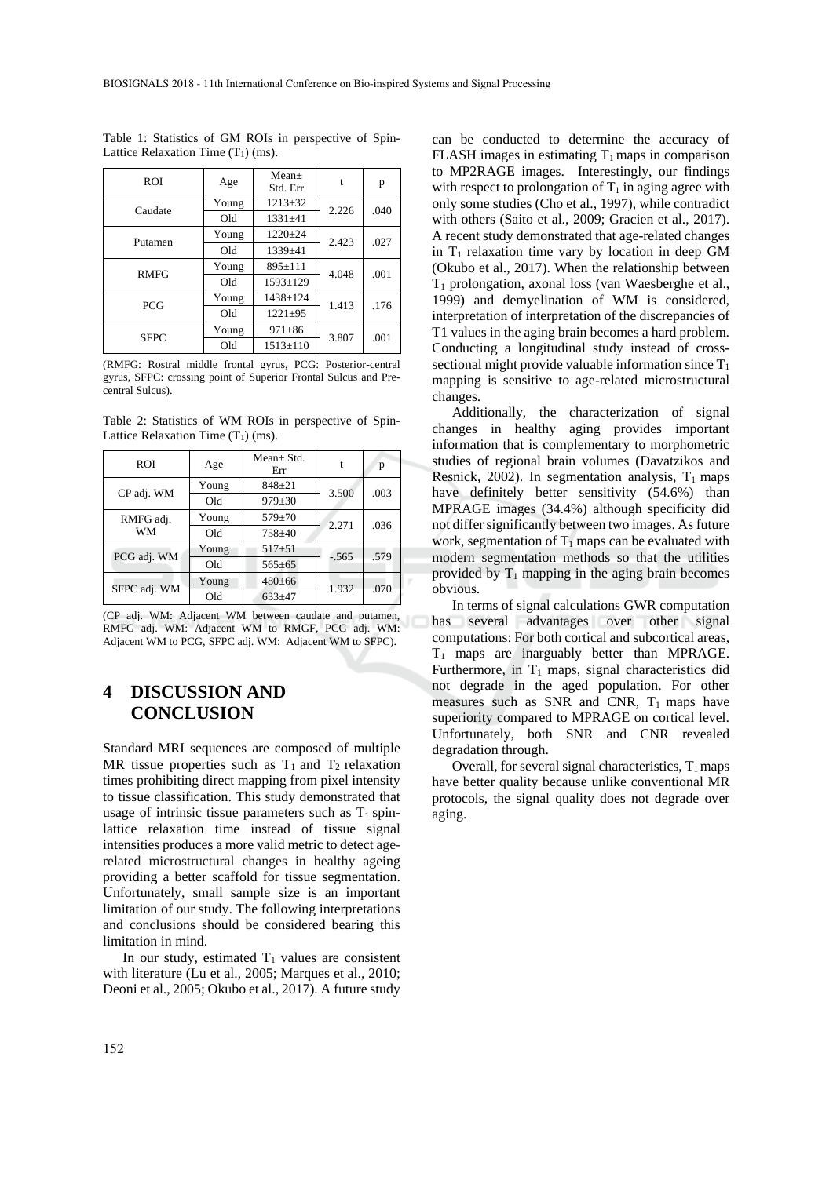| <b>ROI</b>  | Age   | $Mean+$<br>Std. Err | t     | р    |
|-------------|-------|---------------------|-------|------|
| Caudate     | Young | $1213 \pm 32$       | 2.226 | .040 |
|             | Old   | $1331 + 41$         |       |      |
| Putamen     | Young | $1220+24$           | 2.423 | .027 |
|             | Old   | 1339±41             |       |      |
| <b>RMFG</b> | Young | $895 \pm 111$       | 4.048 | .001 |
|             | Old   | $1593 \pm 129$      |       |      |
| <b>PCG</b>  | Young | 1438±124            | 1.413 | .176 |
|             | Old   | $1221 \pm 95$       |       |      |
| <b>SFPC</b> | Young | $971 \pm 86$        |       | .001 |
|             | Old   | $1513 \pm 110$      | 3.807 |      |

Table 1: Statistics of GM ROIs in perspective of Spin-Lattice Relaxation Time  $(T_1)$  (ms).

(RMFG: Rostral middle frontal gyrus, PCG: Posterior-central gyrus, SFPC: crossing point of Superior Frontal Sulcus and Precentral Sulcus).

Table 2: Statistics of WM ROIs in perspective of Spin-Lattice Relaxation Time  $(T_1)$  (ms).

| <b>ROI</b>      | Age   | $Mean \pm Std$ .<br>Err |         | p    |
|-----------------|-------|-------------------------|---------|------|
| CP adj. WM      | Young | $848 + 21$              | 3.500   | .003 |
|                 | Old   | $979 \pm 30$            |         |      |
| RMFG adj.<br>WM | Young | $579 \pm 70$            | 2.271   | .036 |
|                 | Old   | $758 + 40$              |         |      |
| PCG adj. WM     | Young | $517 + 51$              | $-.565$ | .579 |
|                 | Old   | $565 + 65$              |         |      |
| SFPC adj. WM    | Young | $480 + 66$              | 1.932   | .070 |
|                 | Old   | $633+47$                |         |      |

(CP adj. WM: Adjacent WM between caudate and putamen, RMFG adj. WM: Adjacent WM to RMGF, PCG adj. WM: Adjacent WM to PCG, SFPC adj. WM: Adjacent WM to SFPC).

## **4 DISCUSSION AND CONCLUSION**

Standard MRI sequences are composed of multiple MR tissue properties such as  $T_1$  and  $T_2$  relaxation times prohibiting direct mapping from pixel intensity to tissue classification. This study demonstrated that usage of intrinsic tissue parameters such as  $T_1$  spinlattice relaxation time instead of tissue signal intensities produces a more valid metric to detect agerelated microstructural changes in healthy ageing providing a better scaffold for tissue segmentation. Unfortunately, small sample size is an important limitation of our study. The following interpretations and conclusions should be considered bearing this limitation in mind.

In our study, estimated  $T_1$  values are consistent with literature (Lu et al., 2005; Marques et al., 2010; Deoni et al., 2005; Okubo et al., 2017). A future study

can be conducted to determine the accuracy of FLASH images in estimating  $T_1$  maps in comparison to MP2RAGE images. Interestingly, our findings with respect to prolongation of  $T_1$  in aging agree with only some studies (Cho et al., 1997), while contradict with others (Saito et al., 2009; Gracien et al., 2017). A recent study demonstrated that age-related changes in  $T_1$  relaxation time vary by location in deep GM (Okubo et al., 2017). When the relationship between  $T_1$  prolongation, axonal loss (van Waesberghe et al., 1999) and demyelination of WM is considered, interpretation of interpretation of the discrepancies of T1 values in the aging brain becomes a hard problem. Conducting a longitudinal study instead of crosssectional might provide valuable information since  $T_1$ mapping is sensitive to age-related microstructural changes.

Additionally, the characterization of signal changes in healthy aging provides important information that is complementary to morphometric studies of regional brain volumes (Davatzikos and Resnick, 2002). In segmentation analysis,  $T_1$  maps have definitely better sensitivity (54.6%) than MPRAGE images (34.4%) although specificity did not differ significantly between two images. As future work, segmentation of  $T_1$  maps can be evaluated with modern segmentation methods so that the utilities provided by  $T_1$  mapping in the aging brain becomes obvious.

In terms of signal calculations GWR computation has several advantages over other signal computations: For both cortical and subcortical areas, T<sup>1</sup> maps are inarguably better than MPRAGE. Furthermore, in  $T_1$  maps, signal characteristics did not degrade in the aged population. For other measures such as SNR and CNR,  $T_1$  maps have superiority compared to MPRAGE on cortical level. Unfortunately, both SNR and CNR revealed degradation through.

Overall, for several signal characteristics,  $T_1$  maps have better quality because unlike conventional MR protocols, the signal quality does not degrade over aging.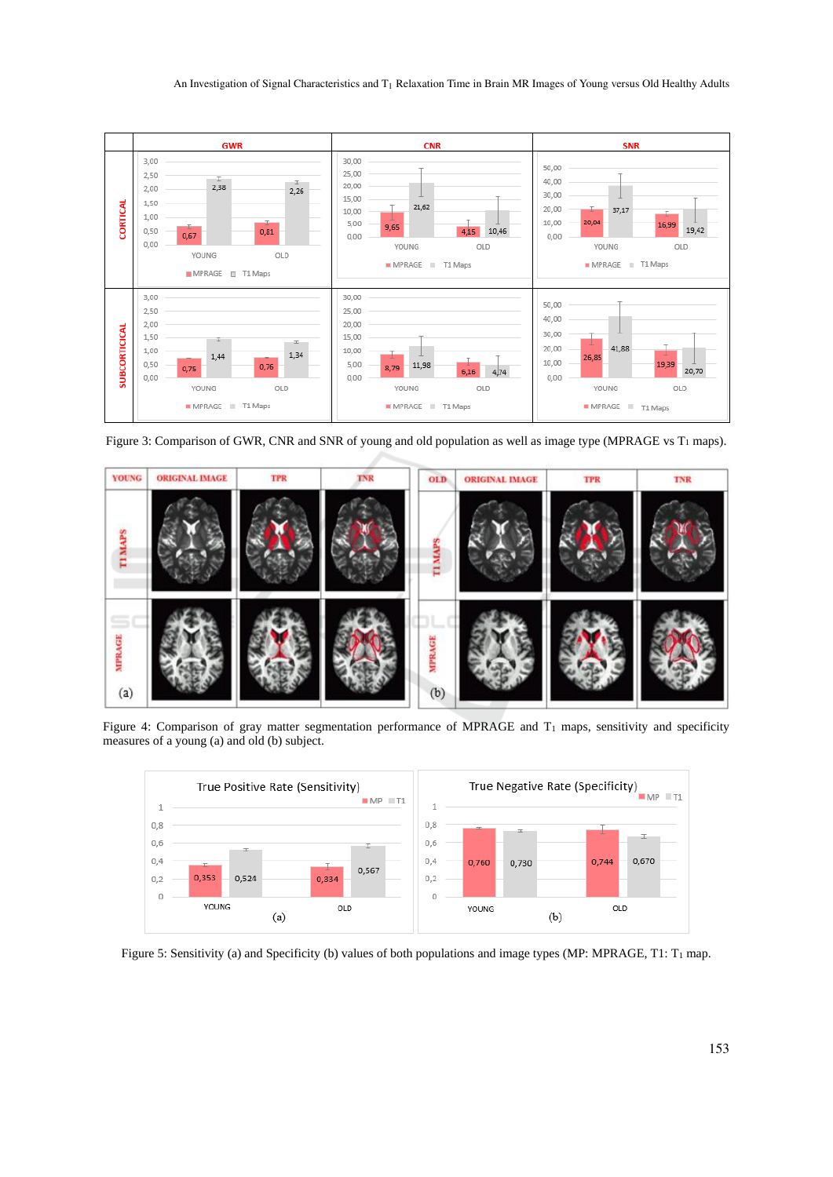

Figure 3: Comparison of GWR, CNR and SNR of young and old population as well as image type (MPRAGE vs T1 maps).



Figure 4: Comparison of gray matter segmentation performance of MPRAGE and T<sub>1</sub> maps, sensitivity and specificity measures of a young (a) and old (b) subject.



Figure 5: Sensitivity (a) and Specificity (b) values of both populations and image types (MP: MPRAGE, T1: T<sub>1</sub> map.